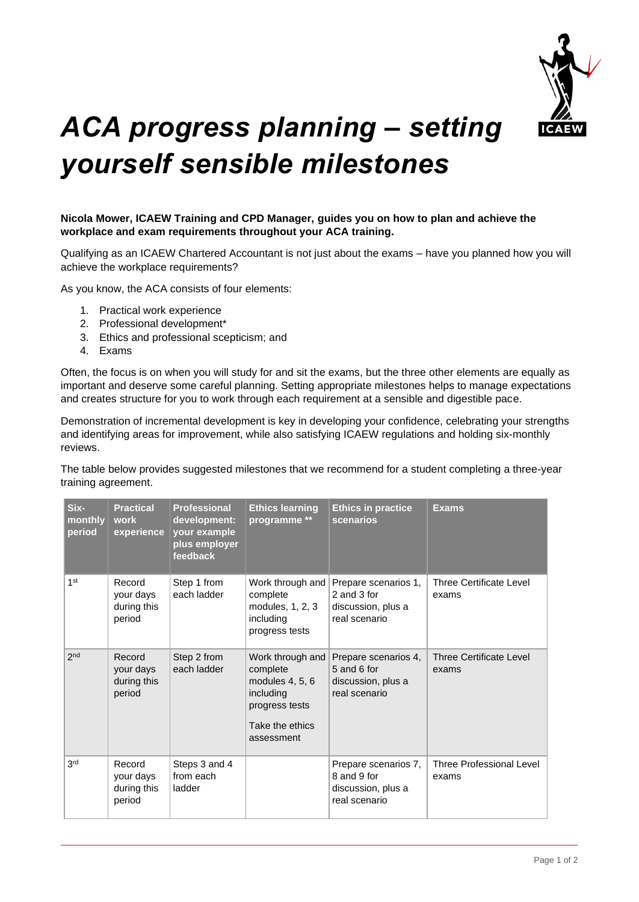

## *ACA progress planning – setting yourself sensible milestones*

## **Nicola Mower, ICAEW Training and CPD Manager, guides you on how to plan and achieve the workplace and exam requirements throughout your ACA training.**

Qualifying as an ICAEW Chartered Accountant is not just about the exams – have you planned how you will achieve the workplace requirements?

As you know, the ACA consists of four elements:

- 1. Practical work experience
- 2. Professional development\*
- 3. Ethics and professional scepticism; and
- 4. Exams

Often, the focus is on when you will study for and sit the exams, but the three other elements are equally as important and deserve some careful planning. Setting appropriate milestones helps to manage expectations and creates structure for you to work through each requirement at a sensible and digestible pace.

Demonstration of incremental development is key in developing your confidence, celebrating your strengths and identifying areas for improvement, while also satisfying ICAEW regulations and holding six-monthly reviews.

The table below provides suggested milestones that we recommend for a student completing a three-year training agreement.

| Six-<br>monthly<br>period | <b>Practical</b><br>work<br>experience       | <b>Professional</b><br>development:<br>your example<br>plus employer<br>feedback | <b>Ethics learning</b><br>programme **                                                                          | <b>Ethics in practice</b><br>scenarios                                     | <b>Exams</b>                            |
|---------------------------|----------------------------------------------|----------------------------------------------------------------------------------|-----------------------------------------------------------------------------------------------------------------|----------------------------------------------------------------------------|-----------------------------------------|
| 1 <sub>st</sub>           | Record<br>your days<br>during this<br>period | Step 1 from<br>each ladder                                                       | Work through and<br>complete<br>modules, 1, 2, 3<br>including<br>progress tests                                 | Prepare scenarios 1,<br>2 and 3 for<br>discussion, plus a<br>real scenario | <b>Three Certificate Level</b><br>exams |
| 2 <sub>nd</sub>           | Record<br>your days<br>during this<br>period | Step 2 from<br>each ladder                                                       | Work through and<br>complete<br>modules 4, 5, 6<br>including<br>progress tests<br>Take the ethics<br>assessment | Prepare scenarios 4,<br>5 and 6 for<br>discussion, plus a<br>real scenario | Three Certificate Level<br>exams        |
| 3rd                       | Record<br>your days<br>during this<br>period | Steps 3 and 4<br>from each<br>ladder                                             |                                                                                                                 | Prepare scenarios 7,<br>8 and 9 for<br>discussion, plus a<br>real scenario | Three Professional Level<br>exams       |